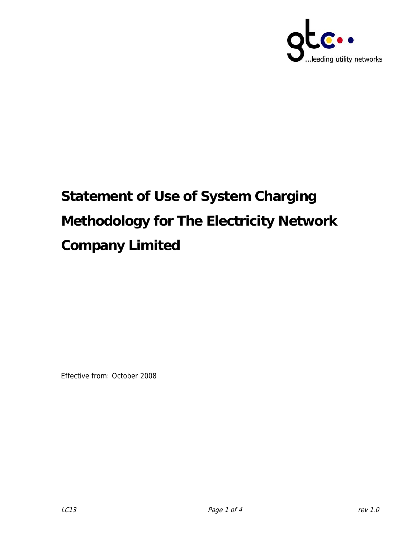

# **Statement of Use of System Charging Methodology for The Electricity Network Company Limited**

Effective from: October 2008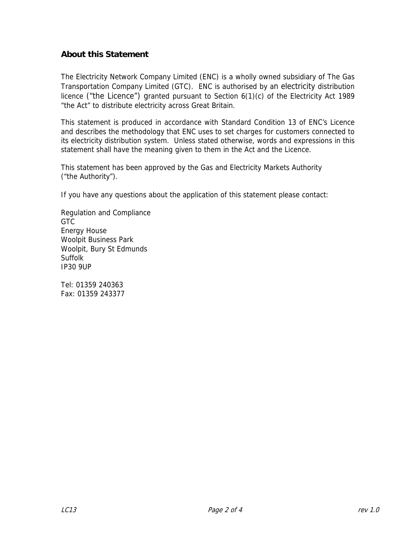### **About this Statement**

The Electricity Network Company Limited (ENC) is a wholly owned subsidiary of The Gas Transportation Company Limited (GTC). ENC is authorised by an electricity distribution licence ("the Licence") granted pursuant to Section 6(1)(c) of the Electricity Act 1989 "the Act" to distribute electricity across Great Britain.

This statement is produced in accordance with Standard Condition 13 of ENC's Licence and describes the methodology that ENC uses to set charges for customers connected to its electricity distribution system. Unless stated otherwise, words and expressions in this statement shall have the meaning given to them in the Act and the Licence.

This statement has been approved by the Gas and Electricity Markets Authority ("the Authority").

If you have any questions about the application of this statement please contact:

Regulation and Compliance GTC Energy House Woolpit Business Park Woolpit, Bury St Edmunds Suffolk IP30 9UP

Tel: 01359 240363 Fax: 01359 243377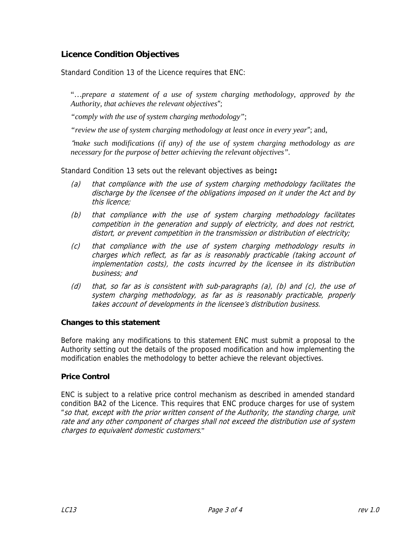## **Licence Condition Objectives**

Standard Condition 13 of the Licence requires that ENC:

"…*prepare a statement of a use of system charging methodology, approved by the Authority, that achieves the relevant objectives*";

*"comply with the use of system charging methodology"*;

*"review the use of system charging methodology at least once in every year*"; and,

"*make such modifications (if any) of the use of system charging methodology as are necessary for the purpose of better achieving the relevant objectives".*

Standard Condition 13 sets out the relevant objectives as being**:**

- (a) that compliance with the use of system charging methodology facilitates the discharge by the licensee of the obligations imposed on it under the Act and by this licence;
- (b) that compliance with the use of system charging methodology facilitates competition in the generation and supply of electricity, and does not restrict, distort, or prevent competition in the transmission or distribution of electricity;
- (c) that compliance with the use of system charging methodology results in charges which reflect, as far as is reasonably practicable (taking account of implementation costs), the costs incurred by the licensee in its distribution business; and
- (d) that, so far as is consistent with sub-paragraphs (a), (b) and (c), the use of system charging methodology, as far as is reasonably practicable, properly takes account of developments in the licensee's distribution business.

#### **Changes to this statement**

Before making any modifications to this statement ENC must submit a proposal to the Authority setting out the details of the proposed modification and how implementing the modification enables the methodology to better achieve the relevant objectives.

#### **Price Control**

ENC is subject to a relative price control mechanism as described in amended standard condition BA2 of the Licence. This requires that ENC produce charges for use of system "so that, except with the prior written consent of the Authority, the standing charge, unit rate and any other component of charges shall not exceed the distribution use of system charges to equivalent domestic customers."